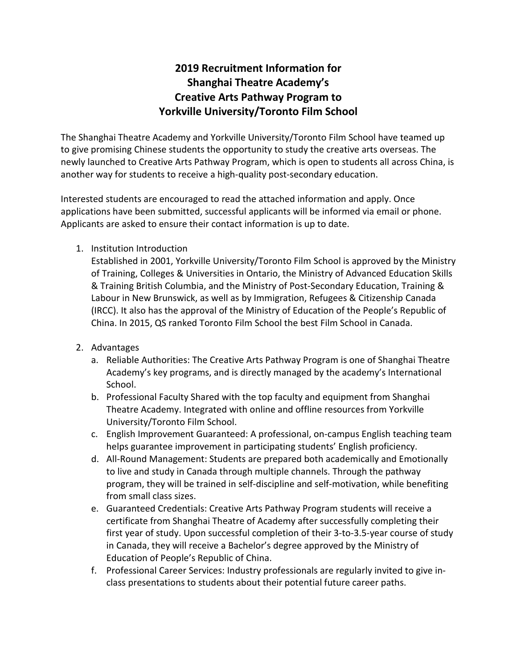# **2019 Recruitment Information for Shanghai Theatre Academy's Creative Arts Pathway Program to Yorkville University/Toronto Film School**

The Shanghai Theatre Academy and Yorkville University/Toronto Film School have teamed up to give promising Chinese students the opportunity to study the creative arts overseas. The newly launched to Creative Arts Pathway Program, which is open to students all across China, is another way for students to receive a high-quality post-secondary education.

Interested students are encouraged to read the attached information and apply. Once applications have been submitted, successful applicants will be informed via email or phone. Applicants are asked to ensure their contact information is up to date.

1. Institution Introduction

Established in 2001, Yorkville University/Toronto Film School is approved by the Ministry of Training, Colleges & Universities in Ontario, the Ministry of Advanced Education Skills & Training British Columbia, and the Ministry of Post-Secondary Education, Training & Labour in New Brunswick, as well as by Immigration, Refugees & Citizenship Canada (IRCC). It also has the approval of the Ministry of Education of the People's Republic of China. In 2015, QS ranked Toronto Film School the best Film School in Canada.

- 2. Advantages
	- a. Reliable Authorities: The Creative Arts Pathway Program is one of Shanghai Theatre Academy's key programs, and is directly managed by the academy's International School.
	- b. Professional Faculty Shared with the top faculty and equipment from Shanghai Theatre Academy. Integrated with online and offline resources from Yorkville University/Toronto Film School.
	- c. English Improvement Guaranteed: A professional, on-campus English teaching team helps guarantee improvement in participating students' English proficiency.
	- d. All-Round Management: Students are prepared both academically and Emotionally to live and study in Canada through multiple channels. Through the pathway program, they will be trained in self-discipline and self-motivation, while benefiting from small class sizes.
	- e. Guaranteed Credentials: Creative Arts Pathway Program students will receive a certificate from Shanghai Theatre of Academy after successfully completing their first year of study. Upon successful completion of their 3-to-3.5-year course of study in Canada, they will receive a Bachelor's degree approved by the Ministry of Education of People's Republic of China.
	- f. Professional Career Services: Industry professionals are regularly invited to give inclass presentations to students about their potential future career paths.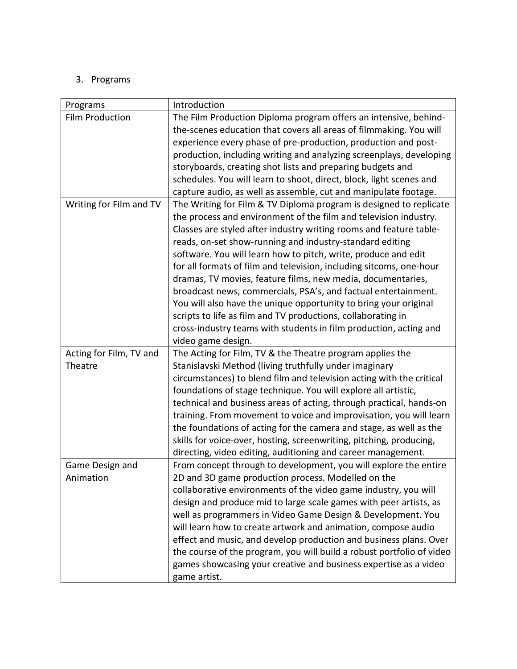## 3. Programs

| Programs                | Introduction                                                          |
|-------------------------|-----------------------------------------------------------------------|
| <b>Film Production</b>  | The Film Production Diploma program offers an intensive, behind-      |
|                         | the-scenes education that covers all areas of filmmaking. You will    |
|                         | experience every phase of pre-production, production and post-        |
|                         | production, including writing and analyzing screenplays, developing   |
|                         | storyboards, creating shot lists and preparing budgets and            |
|                         | schedules. You will learn to shoot, direct, block, light scenes and   |
|                         | capture audio, as well as assemble, cut and manipulate footage.       |
| Writing for Film and TV | The Writing for Film & TV Diploma program is designed to replicate    |
|                         | the process and environment of the film and television industry.      |
|                         | Classes are styled after industry writing rooms and feature table-    |
|                         | reads, on-set show-running and industry-standard editing              |
|                         | software. You will learn how to pitch, write, produce and edit        |
|                         | for all formats of film and television, including sitcoms, one-hour   |
|                         | dramas, TV movies, feature films, new media, documentaries,           |
|                         | broadcast news, commercials, PSA's, and factual entertainment.        |
|                         | You will also have the unique opportunity to bring your original      |
|                         | scripts to life as film and TV productions, collaborating in          |
|                         | cross-industry teams with students in film production, acting and     |
|                         | video game design.                                                    |
| Acting for Film, TV and | The Acting for Film, TV & the Theatre program applies the             |
| Theatre                 | Stanislavski Method (living truthfully under imaginary                |
|                         | circumstances) to blend film and television acting with the critical  |
|                         | foundations of stage technique. You will explore all artistic,        |
|                         | technical and business areas of acting, through practical, hands-on   |
|                         | training. From movement to voice and improvisation, you will learn    |
|                         | the foundations of acting for the camera and stage, as well as the    |
|                         | skills for voice-over, hosting, screenwriting, pitching, producing,   |
|                         | directing, video editing, auditioning and career management.          |
| Game Design and         | From concept through to development, you will explore the entire      |
| Animation               | 2D and 3D game production process. Modelled on the                    |
|                         | collaborative environments of the video game industry, you will       |
|                         | design and produce mid to large scale games with peer artists, as     |
|                         | well as programmers in Video Game Design & Development. You           |
|                         | will learn how to create artwork and animation, compose audio         |
|                         | effect and music, and develop production and business plans. Over     |
|                         | the course of the program, you will build a robust portfolio of video |
|                         | games showcasing your creative and business expertise as a video      |
|                         | game artist.                                                          |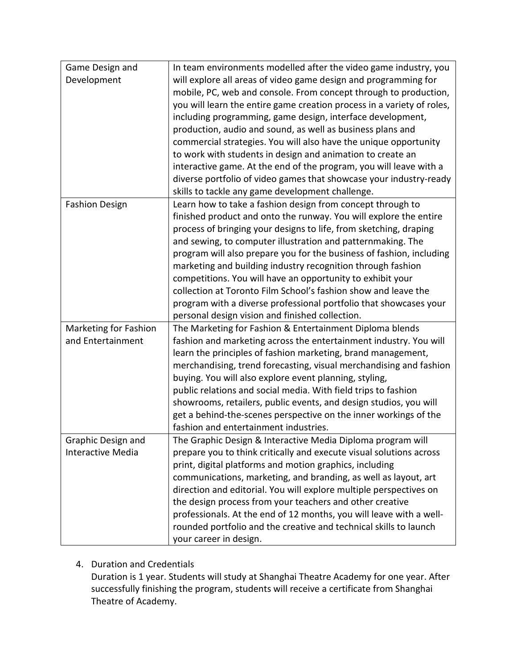| Game Design and<br>Development<br>will explore all areas of video game design and programming for<br>mobile, PC, web and console. From concept through to production,<br>you will learn the entire game creation process in a variety of roles,<br>including programming, game design, interface development,<br>production, audio and sound, as well as business plans and |
|-----------------------------------------------------------------------------------------------------------------------------------------------------------------------------------------------------------------------------------------------------------------------------------------------------------------------------------------------------------------------------|
|                                                                                                                                                                                                                                                                                                                                                                             |
|                                                                                                                                                                                                                                                                                                                                                                             |
|                                                                                                                                                                                                                                                                                                                                                                             |
|                                                                                                                                                                                                                                                                                                                                                                             |
|                                                                                                                                                                                                                                                                                                                                                                             |
| commercial strategies. You will also have the unique opportunity                                                                                                                                                                                                                                                                                                            |
| to work with students in design and animation to create an                                                                                                                                                                                                                                                                                                                  |
| interactive game. At the end of the program, you will leave with a                                                                                                                                                                                                                                                                                                          |
| diverse portfolio of video games that showcase your industry-ready                                                                                                                                                                                                                                                                                                          |
| skills to tackle any game development challenge.                                                                                                                                                                                                                                                                                                                            |
| <b>Fashion Design</b><br>Learn how to take a fashion design from concept through to                                                                                                                                                                                                                                                                                         |
| finished product and onto the runway. You will explore the entire                                                                                                                                                                                                                                                                                                           |
| process of bringing your designs to life, from sketching, draping                                                                                                                                                                                                                                                                                                           |
| and sewing, to computer illustration and patternmaking. The                                                                                                                                                                                                                                                                                                                 |
| program will also prepare you for the business of fashion, including                                                                                                                                                                                                                                                                                                        |
| marketing and building industry recognition through fashion                                                                                                                                                                                                                                                                                                                 |
| competitions. You will have an opportunity to exhibit your                                                                                                                                                                                                                                                                                                                  |
| collection at Toronto Film School's fashion show and leave the                                                                                                                                                                                                                                                                                                              |
| program with a diverse professional portfolio that showcases your                                                                                                                                                                                                                                                                                                           |
| personal design vision and finished collection.                                                                                                                                                                                                                                                                                                                             |
| <b>Marketing for Fashion</b><br>The Marketing for Fashion & Entertainment Diploma blends                                                                                                                                                                                                                                                                                    |
| and Entertainment<br>fashion and marketing across the entertainment industry. You will                                                                                                                                                                                                                                                                                      |
| learn the principles of fashion marketing, brand management,                                                                                                                                                                                                                                                                                                                |
| merchandising, trend forecasting, visual merchandising and fashion                                                                                                                                                                                                                                                                                                          |
| buying. You will also explore event planning, styling,                                                                                                                                                                                                                                                                                                                      |
| public relations and social media. With field trips to fashion                                                                                                                                                                                                                                                                                                              |
| showrooms, retailers, public events, and design studios, you will                                                                                                                                                                                                                                                                                                           |
| get a behind-the-scenes perspective on the inner workings of the                                                                                                                                                                                                                                                                                                            |
| fashion and entertainment industries.                                                                                                                                                                                                                                                                                                                                       |
| The Graphic Design & Interactive Media Diploma program will<br>Graphic Design and                                                                                                                                                                                                                                                                                           |
| Interactive Media<br>prepare you to think critically and execute visual solutions across                                                                                                                                                                                                                                                                                    |
| print, digital platforms and motion graphics, including                                                                                                                                                                                                                                                                                                                     |
| communications, marketing, and branding, as well as layout, art                                                                                                                                                                                                                                                                                                             |
| direction and editorial. You will explore multiple perspectives on                                                                                                                                                                                                                                                                                                          |
| the design process from your teachers and other creative                                                                                                                                                                                                                                                                                                                    |
| professionals. At the end of 12 months, you will leave with a well-                                                                                                                                                                                                                                                                                                         |
| rounded portfolio and the creative and technical skills to launch                                                                                                                                                                                                                                                                                                           |
| your career in design.                                                                                                                                                                                                                                                                                                                                                      |

# 4. Duration and Credentials

Duration is 1 year. Students will study at Shanghai Theatre Academy for one year. After successfully finishing the program, students will receive a certificate from Shanghai Theatre of Academy.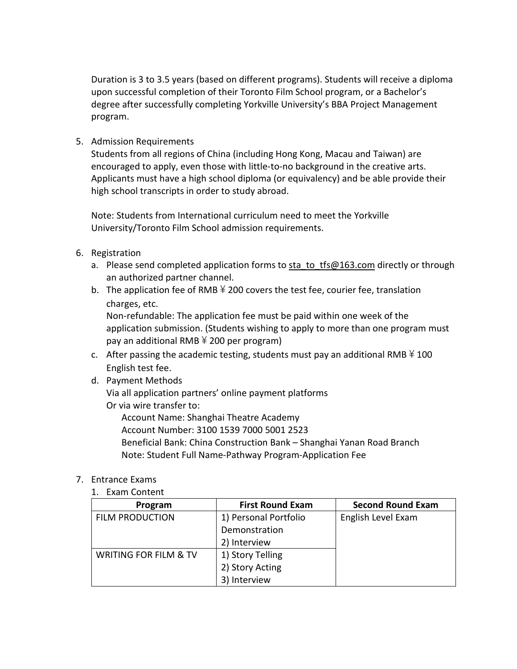Duration is 3 to 3.5 years (based on different programs). Students will receive a diploma upon successful completion of their Toronto Film School program, or a Bachelor's degree after successfully completing Yorkville University's BBA Project Management program.

5. Admission Requirements

Students from all regions of China (including Hong Kong, Macau and Taiwan) are encouraged to apply, even those with little-to-no background in the creative arts. Applicants must have a high school diploma (or equivalency) and be able provide their high school transcripts in order to study abroad.

Note: Students from International curriculum need to meet the Yorkville University/Toronto Film School admission requirements.

- 6. Registration
	- a. Please send completed application forms to  $sta$  to  $tfs@163.com$  directly or through an authorized partner channel.
	- b. The application fee of RMB  $\frac{1}{2}$  200 covers the test fee, courier fee, translation charges, etc.

Non-refundable: The application fee must be paid within one week of the application submission. (Students wishing to apply to more than one program must pay an additional RMB  $\frac{2}{3}$  200 per program)

- c. After passing the academic testing, students must pay an additional RMB  $\frac{1}{2}$  100 English test fee.
- d. Payment Methods

Via all application partners' online payment platforms Or via wire transfer to:

Account Name: Shanghai Theatre Academy

Account Number: 3100 1539 7000 5001 2523

Beneficial Bank: China Construction Bank – Shanghai Yanan Road Branch Note: Student Full Name-Pathway Program-Application Fee

#### 7. Entrance Exams

#### 1. Exam Content

| Program                          | <b>First Round Exam</b> | <b>Second Round Exam</b> |
|----------------------------------|-------------------------|--------------------------|
| <b>FILM PRODUCTION</b>           | 1) Personal Portfolio   | English Level Exam       |
|                                  | Demonstration           |                          |
|                                  | 2) Interview            |                          |
| <b>WRITING FOR FILM &amp; TV</b> | 1) Story Telling        |                          |
|                                  | 2) Story Acting         |                          |
|                                  | Interview               |                          |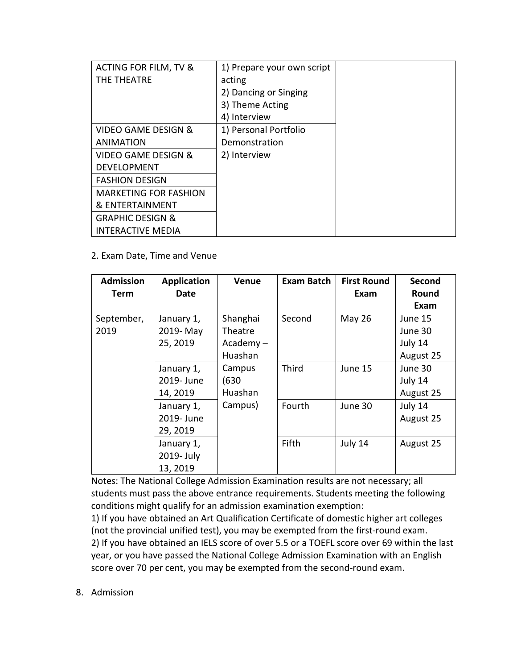| ACTING FOR FILM, TV &          | 1) Prepare your own script |  |
|--------------------------------|----------------------------|--|
| THE THEATRE                    | acting                     |  |
|                                | 2) Dancing or Singing      |  |
|                                | 3) Theme Acting            |  |
|                                | 4) Interview               |  |
| <b>VIDEO GAME DESIGN &amp;</b> | 1) Personal Portfolio      |  |
| <b>ANIMATION</b>               | Demonstration              |  |
| <b>VIDEO GAME DESIGN &amp;</b> | 2) Interview               |  |
| <b>DEVELOPMENT</b>             |                            |  |
| <b>FASHION DESIGN</b>          |                            |  |
| <b>MARKETING FOR FASHION</b>   |                            |  |
| & ENTERTAINMENT                |                            |  |
| <b>GRAPHIC DESIGN &amp;</b>    |                            |  |
| <b>INTERACTIVE MEDIA</b>       |                            |  |

### 2. Exam Date, Time and Venue

| <b>Admission</b><br>Term | <b>Application</b><br><b>Date</b> | <b>Venue</b>   | Exam Batch | <b>First Round</b><br>Exam | Second<br>Round<br>Exam |
|--------------------------|-----------------------------------|----------------|------------|----------------------------|-------------------------|
| September,               | January 1,                        | Shanghai       | Second     | <b>May 26</b>              | June 15                 |
| 2019                     | 2019-May                          | <b>Theatre</b> |            |                            | June 30                 |
|                          | 25, 2019                          | $Academy -$    |            |                            | July 14                 |
|                          |                                   | Huashan        |            |                            | August 25               |
|                          | January 1,                        | Campus         | Third      | June 15                    | June 30                 |
|                          | 2019- June                        | (630)          |            |                            | July 14                 |
|                          | 14, 2019                          | Huashan        |            |                            | August 25               |
|                          | January 1,                        | Campus)        | Fourth     | June 30                    | July 14                 |
|                          | 2019- June                        |                |            |                            | August 25               |
|                          | 29, 2019                          |                |            |                            |                         |
|                          | January 1,                        |                | Fifth      | July 14                    | August 25               |
|                          | 2019- July                        |                |            |                            |                         |
|                          | 13, 2019                          |                |            |                            |                         |

Notes: The National College Admission Examination results are not necessary; all students must pass the above entrance requirements. Students meeting the following conditions might qualify for an admission examination exemption:

1) If you have obtained an Art Qualification Certificate of domestic higher art colleges (not the provincial unified test), you may be exempted from the first-round exam. 2) If you have obtained an IELS score of over 5.5 or a TOEFL score over 69 within the last year, or you have passed the National College Admission Examination with an English score over 70 per cent, you may be exempted from the second-round exam.

8. Admission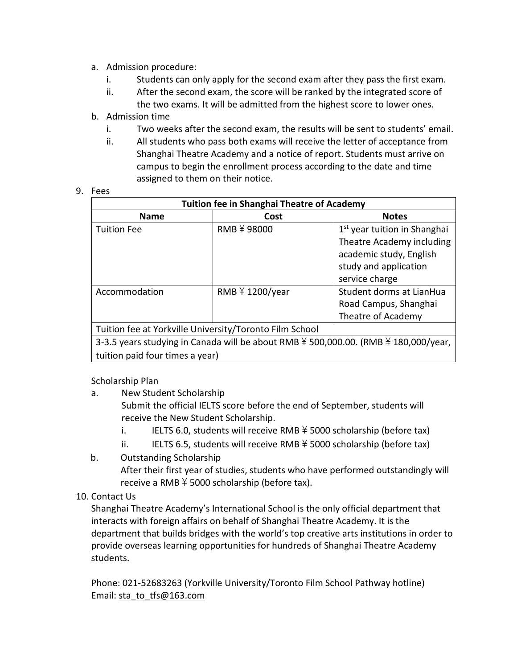- a. Admission procedure:
	- i. Students can only apply for the second exam after they pass the first exam.
	- ii. After the second exam, the score will be ranked by the integrated score of the two exams. It will be admitted from the highest score to lower ones.
- b. Admission time
	- i. Two weeks after the second exam, the results will be sent to students' email.
	- ii. All students who pass both exams will receive the letter of acceptance from Shanghai Theatre Academy and a notice of report. Students must arrive on campus to begin the enrollment process according to the date and time assigned to them on their notice.

| <b>Tuition fee in Shanghai Theatre of Academy</b>                                                                      |                             |                                                                                                                                             |  |  |
|------------------------------------------------------------------------------------------------------------------------|-----------------------------|---------------------------------------------------------------------------------------------------------------------------------------------|--|--|
| <b>Name</b>                                                                                                            | Cost                        | <b>Notes</b>                                                                                                                                |  |  |
| <b>Tuition Fee</b>                                                                                                     | RMB ¥ 98000                 | 1 <sup>st</sup> year tuition in Shanghai<br>Theatre Academy including<br>academic study, English<br>study and application<br>service charge |  |  |
| Accommodation                                                                                                          | RMB $\frac{2}{7}$ 1200/year | Student dorms at LianHua<br>Road Campus, Shanghai<br>Theatre of Academy                                                                     |  |  |
| Tuition fee at Yorkville University/Toronto Film School                                                                |                             |                                                                                                                                             |  |  |
| 3-3.5 years studying in Canada will be about RMB ¥ 500,000.00. (RMB ¥ 180,000/year,<br>tuition paid four times a year) |                             |                                                                                                                                             |  |  |

Scholarship Plan

- a. New Student Scholarship Submit the official IELTS score before the end of September, students will receive the New Student Scholarship.
	- i. IELTS 6.0, students will receive RMB  $\frac{1}{2}$  5000 scholarship (before tax)
	- ii. IELTS 6.5, students will receive RMB  $\frac{1}{2}$  5000 scholarship (before tax)
- b. Outstanding Scholarship After their first year of studies, students who have performed outstandingly will receive a RMB  $\frac{2}{7}$  5000 scholarship (before tax).

### 10. Contact Us

Shanghai Theatre Academy's International School is the only official department that interacts with foreign affairs on behalf of Shanghai Theatre Academy. It is the department that builds bridges with the world's top creative arts institutions in order to provide overseas learning opportunities for hundreds of Shanghai Theatre Academy students.

Phone: 021-52683263 (Yorkville University/Toronto Film School Pathway hotline) Email: [sta\\_to\\_tfs@163.com](mailto:sta_to_tfs@163.com)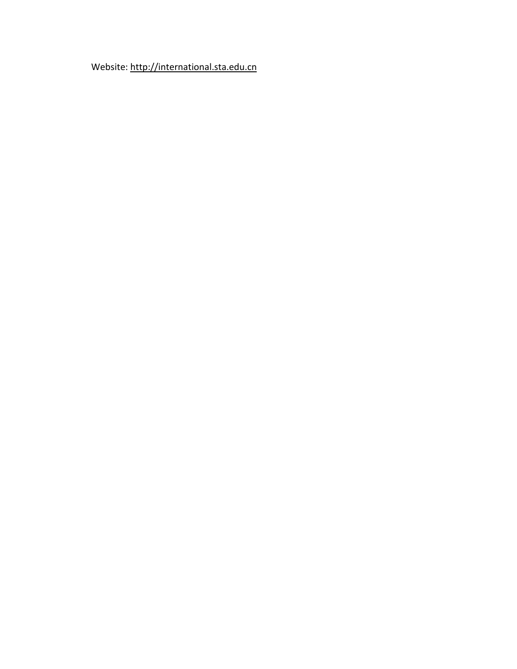Website: [http://international.sta.edu.cn](http://international.sta.edu.cn/)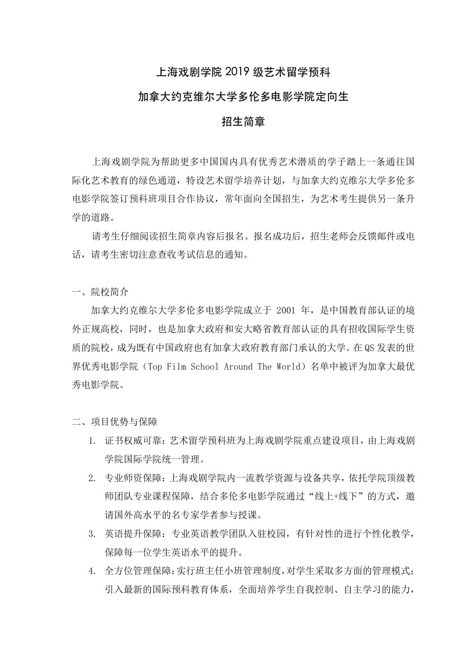### 上海戏剧学院 2019 级艺术留学预科

### 加拿大约克维尔大学多伦多电影学院定向生

### 招⽣简章

上海戏剧学院为帮助更多中国国内具有优秀艺术潜质的学子踏上一条通往国 际化艺术教育的绿色通道,特设艺术留学培养计划,与加拿大约克维尔大学多伦多 电影学院签订预科班项目合作协议,常年面向全国招生,为艺术考生提供另一条升 学的道路。

请考生仔细阅读招生简章内容后报名。报名成功后,招生老师会反馈邮件或电 话,请考生密切注意查收考试信息的通知。

一、院校简介

加拿大约克维尔大学多伦多电影学院成立于 2001 年,是中国教育部认证的境 外正规高校,同时,也是加拿大政府和安大略省教育部认证的具有招收国际学生资 质的院校,成为既有中国政府也有加拿大政府教育部门承认的大学。在 QS 发表的世 界优秀电影学院(Top Film School Around The World)名单中被评为加拿大最优 秀电影学院。

二、项目优势与保障

- 1. 证书权威可靠:艺术留学预科班为上海戏剧学院重点建设项目,由上海戏剧 学院国际学院统一管理。
- 2. 专业师资保障:上海戏剧学院内一流教学资源与设备共享,依托学院顶级教 师团队专业课程保障,结合多伦多电影学院通过"线上+线下"的方式,邀 请国外高水平的名专家学者参与授课。
- 3. 英语提升保障:专业英语教学团队入驻校园,有针对性的进行个性化教学, 保障每一位学生英语水平的提升。
- 4. 全方位管理保障:实行班主任小班管理制度,对学生采取多方面的管理模式; 引入最新的国际预科教育体系,全面培养学生自我控制、自主学习的能力,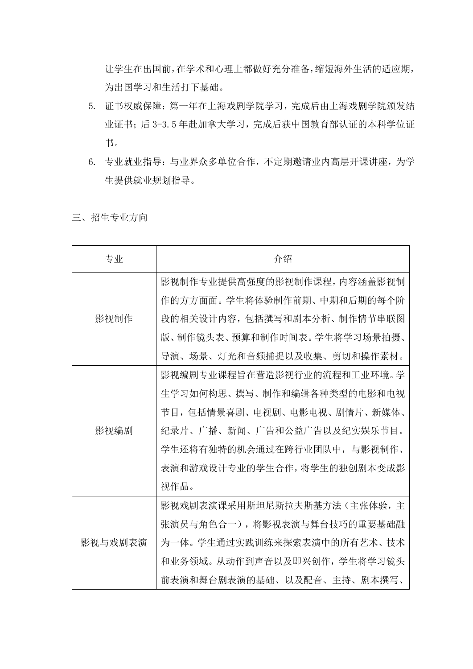让学生在出国前,在学术和心理上都做好充分准备,缩短海外生活的适应期, 为出国学习和生活打下基础。

- 5. 证书权威保障:第一年在上海戏剧学院学习,完成后由上海戏剧学院颁发结 业证书;后 3-3.5 年赴加拿大学习,完成后获中国教育部认证的本科学位证 书。
- 6. 专业就业指导:与业界众多单位合作,不定期邀请业内高层开课讲座,为学 生提供就业规划指导。
- 三、招生专业方向

| 专业      | 介绍                           |
|---------|------------------------------|
|         | 影视制作专业提供高强度的影视制作课程, 内容涵盖影视制  |
|         | 作的方方面面。学生将体验制作前期、中期和后期的每个阶   |
| 影视制作    | 段的相关设计内容, 包括撰写和剧本分析、制作情节串联图  |
|         | 版、制作镜头表、预算和制作时间表。学生将学习场景拍摄、  |
|         | 导演、场景、灯光和音频捕捉以及收集、剪切和操作素材。   |
|         | 影视编剧专业课程旨在营造影视行业的流程和工业环境。学   |
|         | 生学习如何构思、撰写、制作和编辑各种类型的电影和电视   |
|         | 节目, 包括情景喜剧、电视剧、电影电视、剧情片、新媒体、 |
| 影视编剧    | 纪录片、广播、新闻、广告和公益广告以及纪实娱乐节目。   |
|         | 学生还将有独特的机会通过在跨行业团队中,与影视制作、   |
|         | 表演和游戏设计专业的学生合作, 将学生的独创剧本变成影  |
|         | 视作品。                         |
|         | 影视戏剧表演课采用斯坦尼斯拉夫斯基方法 (主张体验, 主 |
| 影视与戏剧表演 | 张演员与角色合一), 将影视表演与舞台技巧的重要基础融  |
|         | 为一体。学生通过实践训练来探索表演中的所有艺术、技术   |
|         | 和业务领域。从动作到声音以及即兴创作, 学生将学习镜头  |
|         | 前表演和舞台剧表演的基础、以及配音、主持、剧本撰写、   |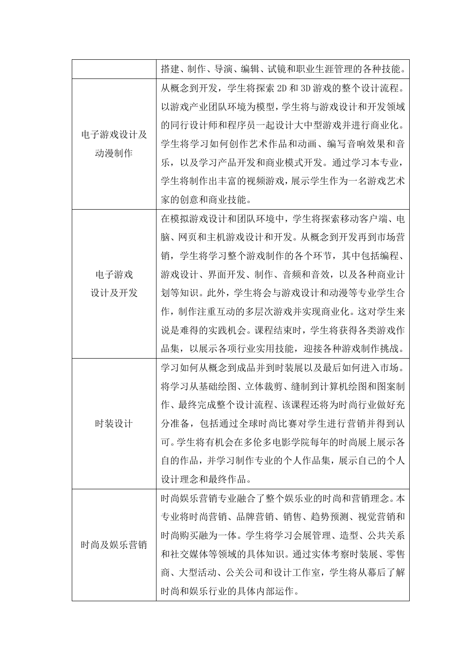|         | 搭建、制作、导演、编辑、试镜和职业生涯管理的各种技能。     |
|---------|---------------------------------|
|         | 从概念到开发,学生将探索 2D 和 3D 游戏的整个设计流程。 |
|         | 以游戏产业团队环境为模型, 学生将与游戏设计和开发领域     |
| 电子游戏设计及 | 的同行设计师和程序员一起设计大中型游戏并进行商业化。      |
| 动漫制作    | 学生将学习如何创作艺术作品和动画、编写音响效果和音       |
|         | 乐, 以及学习产品开发和商业模式开发。通过学习本专业,     |
|         | 学生将制作出丰富的视频游戏, 展示学生作为一名游戏艺术     |
|         | 家的创意和商业技能。                      |
|         | 在模拟游戏设计和团队环境中, 学生将探索移动客户端、电     |
|         | 脑、网页和主机游戏设计和开发。从概念到开发再到市场营      |
|         | 学生将学习整个游戏制作的各个环节,其中包括编程、<br>销,  |
| 电子游戏    | 游戏设计、界面开发、制作、音频和音效, 以及各种商业计     |
| 设计及开发   | 划等知识。 此外,学生将会与游戏设计和动漫等专业学生合     |
|         | 作, 制作注重互动的多层次游戏并实现商业化。 这对学生来    |
|         | 说是难得的实践机会。课程结束时, 学生将获得各类游戏作     |
|         | 品集,以展示各项行业实用技能,迎接各种游戏制作挑战。      |
|         | 学习如何从概念到成品并到时装展以及最后如何进入市场。      |
|         | 将学习从基础绘图、立体裁剪、缝制到计算机绘图和图案制      |
|         | 作、最终完成整个设计流程、该课程还将为时尚行业做好充      |
| 时装设计    | 分准备, 包括通过全球时尚比赛对学生进行营销并得到认      |
|         | 可。学生将有机会在多伦多电影学院每年的时尚展上展示各      |
|         | 自的作品,并学习制作专业的个人作品集,展示自己的个人      |
|         | 设计理念和最终作品。                      |
|         | 时尚娱乐营销专业融合了整个娱乐业的时尚和营销理念。本      |
| 时尚及娱乐营销 | 专业将时尚营销、品牌营销、销售、趋势预测、视觉营销和      |
|         | 时尚购买融为一体。学生将学习会展管理、造型、公共关系      |
|         | 和社交媒体等领域的具体知识。通过实体考察时装展、零售      |
|         | 商、大型活动、公关公司和设计工作室, 学生将从幕后了解     |
|         | 时尚和娱乐行业的具体内部运作。                 |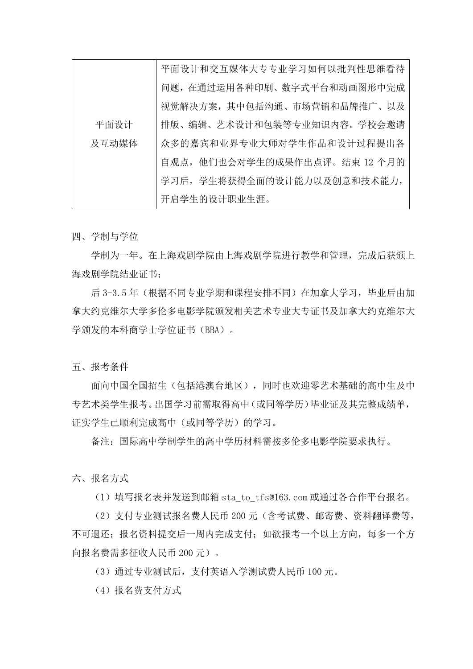|       | 平面设计和交互媒体大专专业学习如何以批判性思维看待    |
|-------|------------------------------|
|       | 问题, 在通过运用各种印刷、数字式平台和动画图形中完成  |
|       | 视觉解决方案,其中包括沟通、市场营销和品牌推广、以及   |
| 平面设计  | 排版、编辑、艺术设计和包装等专业知识内容。学校会邀请   |
| 及互动媒体 | 众多的嘉宾和业界专业大师对学生作品和设计过程提出各    |
|       | 自观点,他们也会对学生的成果作出点评。结束 12 个月的 |
|       | 学习后, 学生将获得全面的设计能力以及创意和技术能力,  |
|       | 开启学生的设计职业生涯。                 |

四、学制与学位

学制为一年。在上海戏剧学成剧学院进行教学和管理,完成后获颁上 海戏剧学院结业证书;

后 3-3.5 年(根据不同专业学期和课程安排不同)在加拿大学习,毕业后由加 拿大约克维尔大学多伦多电影学院颁发相关艺术专业大专证书及加拿大约克维尔大 学颁发的本科商学士学位证书(BBA)。

五、报考条件

面向中国全国招生(包括港澳台地区),同时也欢迎零艺术基础的高中生及中 专艺术类学生报考。出国学习前需取得高中(或同等学历)毕业证及其完整成绩单, 证实学生已顺利完成高中(或同等学历)的学习。

备注:国际高中学制学生的高中学历材料需按多伦多电影学院要求执行。

六、报名方式

(1)填写报名表并发送到邮箱 sta\_to\_tfs@163.com 或通过各合作平台报名。

(2)支付专业测试报名费人民币 200 元(含考试费、邮寄费、资料翻译费等, 不可退还;报名资料提交后一周内完成支付;如欲报考一个以上方向,每多一个方 向报名费需多征收人民币 200 元)。

(3)通过专业测试后,支付英语入学测试费人民币 100 元。

(4) 报名费支付方式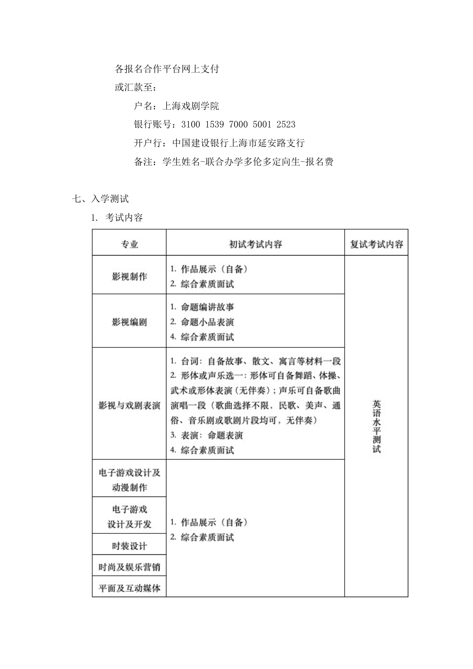各报名合作平台网上支付

或汇款至:

户名:上海戏剧学院 银行账号:3100 1539 7000 5001 2523 开户行:中国建设银行上海市延安路支行 备注:学生姓名-联合办学多伦多定向生-报名费

- 七、入学测试
	- 1. 考试内容

| 专业              | 初试考试内容                                                                                                                                               | 复试考试内容     |
|-----------------|------------------------------------------------------------------------------------------------------------------------------------------------------|------------|
| 影视制作            | 1. 作品展示 (自备)<br>2. 综合素质面试                                                                                                                            |            |
| 影视编剧            | 1. 命题编讲故事<br>2. 命题小品表演<br>4. 综合素质面试                                                                                                                  |            |
| 影视与戏剧表演         | 1. 台词: 自备故事、散文、寓言等材料一段<br>2. 形体或声乐选一: 形体可自备舞蹈、体操、<br>武术或形体表演 (无伴奏); 声乐可自备歌曲<br>演唱一段(歌曲选择不限,民歌、美声、通<br>俗、音乐剧或歌剧片段均可, 无伴奏)<br>3. 表演: 命题表演<br>4. 综合素质面试 | 英语水平测<br>试 |
| 电子游戏设计及<br>动漫制作 |                                                                                                                                                      |            |
| 电子游戏<br>设计及开发   | 1. 作品展示(自备)                                                                                                                                          |            |
| 时装设计            | 2. 综合素质面试                                                                                                                                            |            |
| 时尚及娱乐营销         |                                                                                                                                                      |            |
| 平面及互动媒体         |                                                                                                                                                      |            |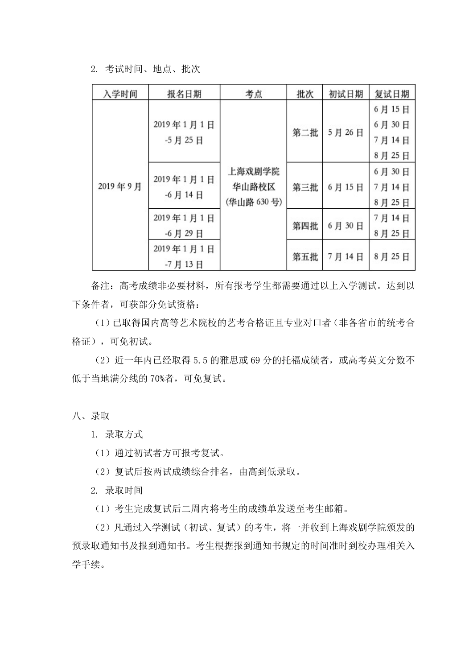### 2. 考试时间、地点、批次

| 入学时间    | 报名日期                | 考点                  | 批次  | 初试日期  | 复试日期  |
|---------|---------------------|---------------------|-----|-------|-------|
|         |                     |                     |     |       | 6月15日 |
|         | 2019年1月1日<br>-5月25日 |                     | 第二批 | 5月26日 | 6月30日 |
|         |                     |                     |     |       | 7月14日 |
| 2019年9月 |                     |                     |     |       | 8月25日 |
|         | 2019年1月1日<br>-6月14日 | 上海戏剧学院              |     | 6月15日 | 6月30日 |
|         |                     | 华山路校区<br>(华山路 630号) | 第三批 |       | 7月14日 |
|         |                     |                     |     |       | 8月25日 |
|         | 2019年1月1日           |                     | 第四批 | 6月30日 | 7月14日 |
|         | -6月29日              |                     |     |       | 8月25日 |
|         | 2019年1月1日           |                     |     |       |       |
|         | -7月13日              |                     | 第五批 | 7月14日 | 8月25日 |

备注:高考成绩非必要材料,所有报考学生都需要通过以上入学测试。达到以 下条件者,可获部分免试资格:

(1)已取得国内高等艺术院校的艺考合格证且专业对口者(非各省市的统考合 格证),可免初试。

(2)近一年内已经取得 5.5 的雅思或 69 分的托福成绩者,或高考英文分数不 低于当地满分线的 70%者,可免复试。

八、录取

1. 录取方式

(1)通过初试者方可报考复试。

(2)复试后按两试成绩综合排名,由高到低录取。

2. 录取时间

(1)考生完成复试后二周内将考生的成绩单发送至考生邮箱。

(2)凡通过入学测试(初试、复试)的考生,将一并收到上海戏剧学院颁发的 预录取通知书及报到通知书。考生根据报到通知书规定的时间准时到校办理相关入 学手续。